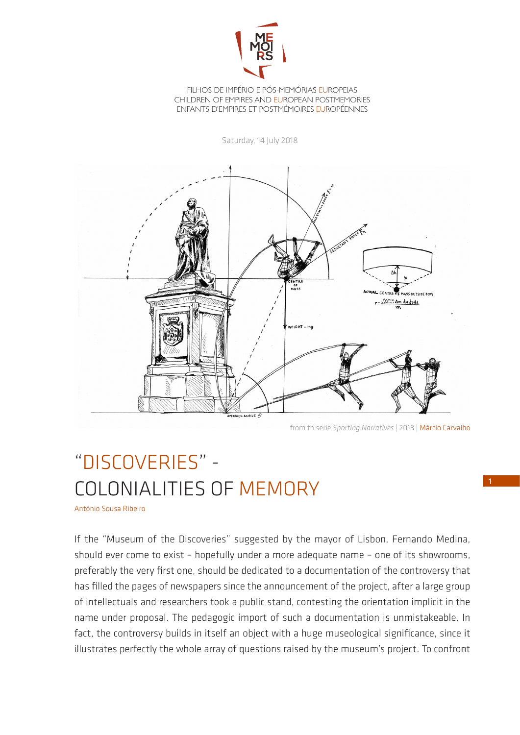

FILHOS DE IMPÉRIO E PÓS-MEMÓRIAS EUROPEIAS CHILDREN OF EMPIRES AND EUROPEAN POSTMEMORIES ENFANTS D'EMPIRES ET POSTMÉMOIRES EUROPÉENNES

Saturday, 14 July 2018



from th serie *Sporting Narratives* | 2018 | Márcio Carvalho

## "DISCOVERIES" - COLONIALITIES OF MEMORY

António Sousa Ribeiro

If the "Museum of the Discoveries" suggested by the mayor of Lisbon, Fernando Medina, should ever come to exist – hopefully under a more adequate name – one of its showrooms, preferably the very first one, should be dedicated to a documentation of the controversy that has filled the pages of newspapers since the announcement of the project, after a large group of intellectuals and researchers took a public stand, contesting the orientation implicit in the name under proposal. The pedagogic import of such a documentation is unmistakeable. In fact, the controversy builds in itself an object with a huge museological significance, since it illustrates perfectly the whole array of questions raised by the museum's project. To confront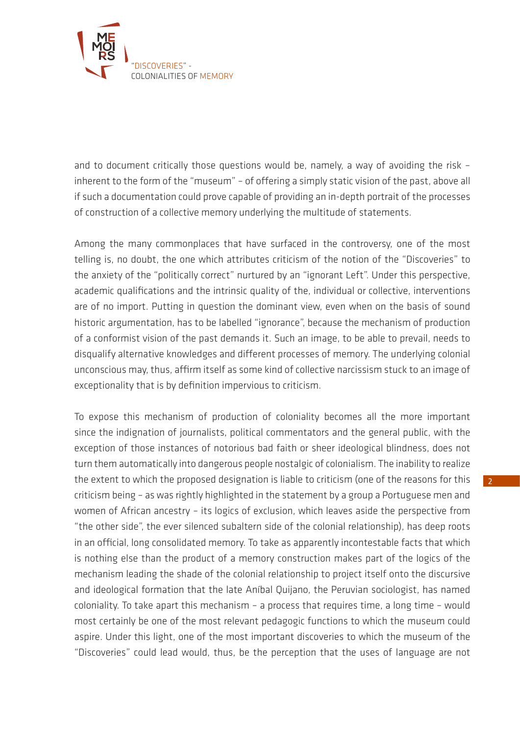

and to document critically those questions would be, namely, a way of avoiding the risk – inherent to the form of the "museum" – of offering a simply static vision of the past, above all if such a documentation could prove capable of providing an in-depth portrait of the processes of construction of a collective memory underlying the multitude of statements.

Among the many commonplaces that have surfaced in the controversy, one of the most telling is, no doubt, the one which attributes criticism of the notion of the "Discoveries" to the anxiety of the "politically correct" nurtured by an "ignorant Left". Under this perspective, academic qualifications and the intrinsic quality of the, individual or collective, interventions are of no import. Putting in question the dominant view, even when on the basis of sound historic argumentation, has to be labelled "ignorance", because the mechanism of production of a conformist vision of the past demands it. Such an image, to be able to prevail, needs to disqualify alternative knowledges and different processes of memory. The underlying colonial unconscious may, thus, affirm itself as some kind of collective narcissism stuck to an image of exceptionality that is by definition impervious to criticism.

To expose this mechanism of production of coloniality becomes all the more important since the indignation of journalists, political commentators and the general public, with the exception of those instances of notorious bad faith or sheer ideological blindness, does not turn them automatically into dangerous people nostalgic of colonialism. The inability to realize the extent to which the proposed designation is liable to criticism (one of the reasons for this criticism being – as was rightly highlighted in the statement by a group a Portuguese men and women of African ancestry – its logics of exclusion, which leaves aside the perspective from "the other side", the ever silenced subaltern side of the colonial relationship), has deep roots in an official, long consolidated memory. To take as apparently incontestable facts that which is nothing else than the product of a memory construction makes part of the logics of the mechanism leading the shade of the colonial relationship to project itself onto the discursive and ideological formation that the late Aníbal Quijano, the Peruvian sociologist, has named coloniality. To take apart this mechanism – a process that requires time, a long time – would most certainly be one of the most relevant pedagogic functions to which the museum could aspire. Under this light, one of the most important discoveries to which the museum of the "Discoveries" could lead would, thus, be the perception that the uses of language are not